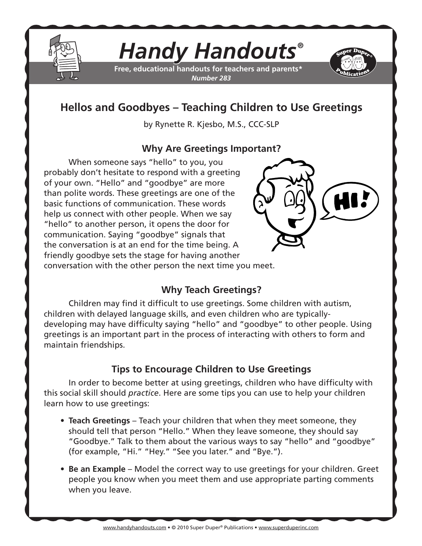

# *Handy Handouts®*

**Free, educational handouts for teachers and parents\*** *Number 283*



## **Hellos and Goodbyes – Teaching Children to Use Greetings**

by Rynette R. Kjesbo, M.S., CCC-SLP

#### **Why Are Greetings Important?**

When someone says "hello" to you, you probably don't hesitate to respond with a greeting of your own. "Hello" and "goodbye" are more than polite words. These greetings are one of the basic functions of communication. These words help us connect with other people. When we say "hello" to another person, it opens the door for communication. Saying "goodbye" signals that the conversation is at an end for the time being. A friendly goodbye sets the stage for having another



conversation with the other person the next time you meet.

### **Why Teach Greetings?**

Children may find it difficult to use greetings. Some children with autism, children with delayed language skills, and even children who are typicallydeveloping may have difficulty saying "hello" and "goodbye" to other people. Using greetings is an important part in the process of interacting with others to form and maintain friendships.

### **Tips to Encourage Children to Use Greetings**

In order to become better at using greetings, children who have difficulty with this social skill should *practice*. Here are some tips you can use to help your children learn how to use greetings:

- **Teach Greetings** Teach your children that when they meet someone, they should tell that person "Hello." When they leave someone, they should say "Goodbye." Talk to them about the various ways to say "hello" and "goodbye" (for example, "Hi." "Hey." "See you later." and "Bye.").
- **Be an Example** Model the correct way to use greetings for your children. Greet people you know when you meet them and use appropriate parting comments when you leave.